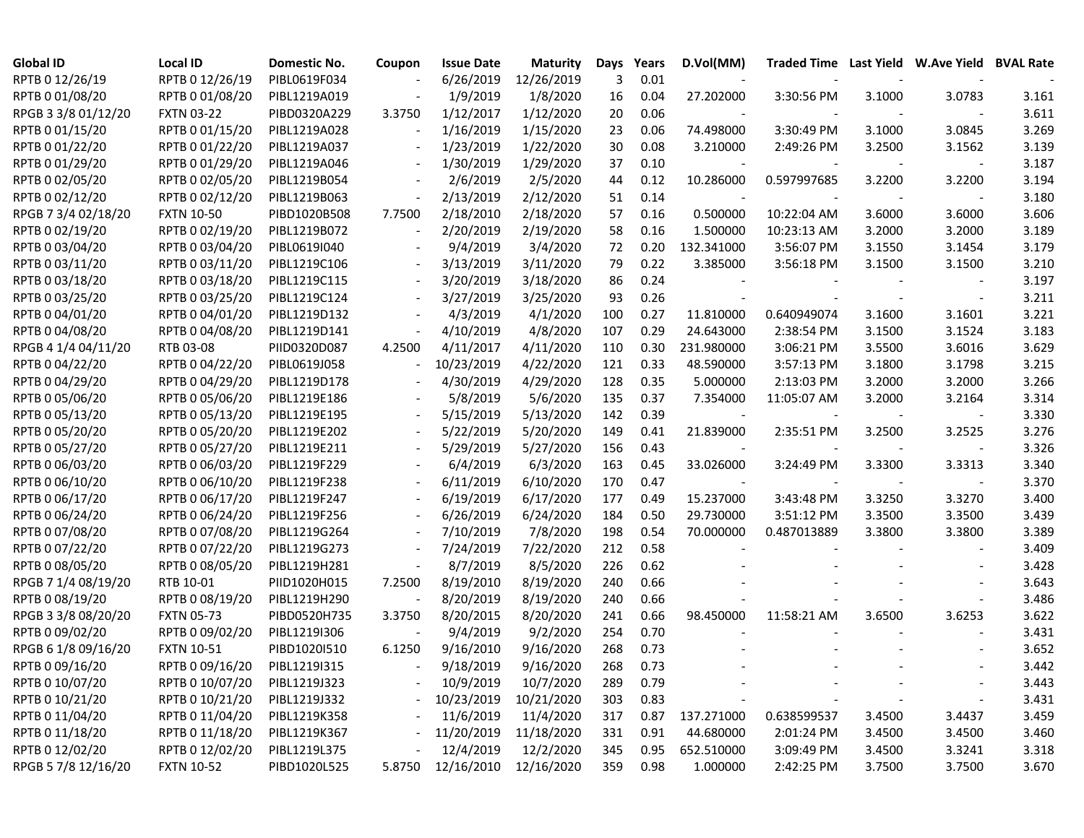| <b>Global ID</b>    | <b>Local ID</b>   | Domestic No. | Coupon                   | <b>Issue Date</b> | <b>Maturity</b> | Days | Years | D.Vol(MM)  |             |        | Traded Time Last Yield W.Ave Yield BVAL Rate |       |
|---------------------|-------------------|--------------|--------------------------|-------------------|-----------------|------|-------|------------|-------------|--------|----------------------------------------------|-------|
| RPTB 0 12/26/19     | RPTB 0 12/26/19   | PIBL0619F034 |                          | 6/26/2019         | 12/26/2019      | 3    | 0.01  |            |             |        |                                              |       |
| RPTB 0 01/08/20     | RPTB 0 01/08/20   | PIBL1219A019 |                          | 1/9/2019          | 1/8/2020        | 16   | 0.04  | 27.202000  | 3:30:56 PM  | 3.1000 | 3.0783                                       | 3.161 |
| RPGB 3 3/8 01/12/20 | <b>FXTN 03-22</b> | PIBD0320A229 | 3.3750                   | 1/12/2017         | 1/12/2020       | 20   | 0.06  |            |             |        |                                              | 3.611 |
| RPTB 0 01/15/20     | RPTB 0 01/15/20   | PIBL1219A028 | $\overline{\phantom{a}}$ | 1/16/2019         | 1/15/2020       | 23   | 0.06  | 74.498000  | 3:30:49 PM  | 3.1000 | 3.0845                                       | 3.269 |
| RPTB 0 01/22/20     | RPTB 0 01/22/20   | PIBL1219A037 | $\overline{\phantom{a}}$ | 1/23/2019         | 1/22/2020       | 30   | 0.08  | 3.210000   | 2:49:26 PM  | 3.2500 | 3.1562                                       | 3.139 |
| RPTB 0 01/29/20     | RPTB 0 01/29/20   | PIBL1219A046 | $\overline{\phantom{a}}$ | 1/30/2019         | 1/29/2020       | 37   | 0.10  |            |             |        |                                              | 3.187 |
| RPTB 0 02/05/20     | RPTB 0 02/05/20   | PIBL1219B054 | $\overline{\phantom{a}}$ | 2/6/2019          | 2/5/2020        | 44   | 0.12  | 10.286000  | 0.597997685 | 3.2200 | 3.2200                                       | 3.194 |
| RPTB 0 02/12/20     | RPTB 0 02/12/20   | PIBL1219B063 | $\blacksquare$           | 2/13/2019         | 2/12/2020       | 51   | 0.14  |            |             |        |                                              | 3.180 |
| RPGB 7 3/4 02/18/20 | <b>FXTN 10-50</b> | PIBD1020B508 | 7.7500                   | 2/18/2010         | 2/18/2020       | 57   | 0.16  | 0.500000   | 10:22:04 AM | 3.6000 | 3.6000                                       | 3.606 |
| RPTB 0 02/19/20     | RPTB 0 02/19/20   | PIBL1219B072 | $\overline{\phantom{a}}$ | 2/20/2019         | 2/19/2020       | 58   | 0.16  | 1.500000   | 10:23:13 AM | 3.2000 | 3.2000                                       | 3.189 |
| RPTB 0 03/04/20     | RPTB 0 03/04/20   | PIBL0619I040 |                          | 9/4/2019          | 3/4/2020        | 72   | 0.20  | 132.341000 | 3:56:07 PM  | 3.1550 | 3.1454                                       | 3.179 |
| RPTB 0 03/11/20     | RPTB 0 03/11/20   | PIBL1219C106 |                          | 3/13/2019         | 3/11/2020       | 79   | 0.22  | 3.385000   | 3:56:18 PM  | 3.1500 | 3.1500                                       | 3.210 |
| RPTB 0 03/18/20     | RPTB 0 03/18/20   | PIBL1219C115 |                          | 3/20/2019         | 3/18/2020       | 86   | 0.24  |            |             |        |                                              | 3.197 |
| RPTB 0 03/25/20     | RPTB 0 03/25/20   | PIBL1219C124 |                          | 3/27/2019         | 3/25/2020       | 93   | 0.26  |            |             |        |                                              | 3.211 |
| RPTB 0 04/01/20     | RPTB 0 04/01/20   | PIBL1219D132 |                          | 4/3/2019          | 4/1/2020        | 100  | 0.27  | 11.810000  | 0.640949074 | 3.1600 | 3.1601                                       | 3.221 |
| RPTB 0 04/08/20     | RPTB 0 04/08/20   | PIBL1219D141 | $\overline{\phantom{a}}$ | 4/10/2019         | 4/8/2020        | 107  | 0.29  | 24.643000  | 2:38:54 PM  | 3.1500 | 3.1524                                       | 3.183 |
| RPGB 4 1/4 04/11/20 | RTB 03-08         | PIID0320D087 | 4.2500                   | 4/11/2017         | 4/11/2020       | 110  | 0.30  | 231.980000 | 3:06:21 PM  | 3.5500 | 3.6016                                       | 3.629 |
| RPTB 0 04/22/20     | RPTB 0 04/22/20   | PIBL0619J058 | $\overline{\phantom{a}}$ | 10/23/2019        | 4/22/2020       | 121  | 0.33  | 48.590000  | 3:57:13 PM  | 3.1800 | 3.1798                                       | 3.215 |
| RPTB 0 04/29/20     | RPTB 0 04/29/20   | PIBL1219D178 |                          | 4/30/2019         | 4/29/2020       | 128  | 0.35  | 5.000000   | 2:13:03 PM  | 3.2000 | 3.2000                                       | 3.266 |
| RPTB 0 05/06/20     | RPTB 0 05/06/20   | PIBL1219E186 |                          | 5/8/2019          | 5/6/2020        | 135  | 0.37  | 7.354000   | 11:05:07 AM | 3.2000 | 3.2164                                       | 3.314 |
| RPTB 0 05/13/20     | RPTB 0 05/13/20   | PIBL1219E195 |                          | 5/15/2019         | 5/13/2020       | 142  | 0.39  |            |             |        |                                              | 3.330 |
| RPTB 0 05/20/20     | RPTB 0 05/20/20   | PIBL1219E202 |                          | 5/22/2019         | 5/20/2020       | 149  | 0.41  | 21.839000  | 2:35:51 PM  | 3.2500 | 3.2525                                       | 3.276 |
| RPTB 0 05/27/20     | RPTB 0 05/27/20   | PIBL1219E211 |                          | 5/29/2019         | 5/27/2020       | 156  | 0.43  |            |             |        |                                              | 3.326 |
| RPTB 0 06/03/20     | RPTB 0 06/03/20   | PIBL1219F229 |                          | 6/4/2019          | 6/3/2020        | 163  | 0.45  | 33.026000  | 3:24:49 PM  | 3.3300 | 3.3313                                       | 3.340 |
| RPTB 0 06/10/20     | RPTB 0 06/10/20   | PIBL1219F238 |                          | 6/11/2019         | 6/10/2020       | 170  | 0.47  |            |             |        |                                              | 3.370 |
| RPTB 0 06/17/20     | RPTB 0 06/17/20   | PIBL1219F247 |                          | 6/19/2019         | 6/17/2020       | 177  | 0.49  | 15.237000  | 3:43:48 PM  | 3.3250 | 3.3270                                       | 3.400 |
| RPTB 0 06/24/20     | RPTB 0 06/24/20   | PIBL1219F256 |                          | 6/26/2019         | 6/24/2020       | 184  | 0.50  | 29.730000  | 3:51:12 PM  | 3.3500 | 3.3500                                       | 3.439 |
| RPTB 0 07/08/20     | RPTB 0 07/08/20   | PIBL1219G264 | $\overline{\phantom{a}}$ | 7/10/2019         | 7/8/2020        | 198  | 0.54  | 70.000000  | 0.487013889 | 3.3800 | 3.3800                                       | 3.389 |
| RPTB 0 07/22/20     | RPTB 0 07/22/20   | PIBL1219G273 | $\overline{\phantom{a}}$ | 7/24/2019         | 7/22/2020       | 212  | 0.58  |            |             |        |                                              | 3.409 |
| RPTB 0 08/05/20     | RPTB 0 08/05/20   | PIBL1219H281 | $\overline{\phantom{a}}$ | 8/7/2019          | 8/5/2020        | 226  | 0.62  |            |             |        |                                              | 3.428 |
| RPGB 7 1/4 08/19/20 | RTB 10-01         | PIID1020H015 | 7.2500                   | 8/19/2010         | 8/19/2020       | 240  | 0.66  |            |             |        |                                              | 3.643 |
| RPTB 0 08/19/20     | RPTB 0 08/19/20   | PIBL1219H290 | $\overline{\phantom{a}}$ | 8/20/2019         | 8/19/2020       | 240  | 0.66  |            |             |        |                                              | 3.486 |
| RPGB 3 3/8 08/20/20 | <b>FXTN 05-73</b> | PIBD0520H735 | 3.3750                   | 8/20/2015         | 8/20/2020       | 241  | 0.66  | 98.450000  | 11:58:21 AM | 3.6500 | 3.6253                                       | 3.622 |
| RPTB 0 09/02/20     | RPTB 0 09/02/20   | PIBL1219I306 |                          | 9/4/2019          | 9/2/2020        | 254  | 0.70  |            |             |        |                                              | 3.431 |
| RPGB 6 1/8 09/16/20 | <b>FXTN 10-51</b> | PIBD1020I510 | 6.1250                   | 9/16/2010         | 9/16/2020       | 268  | 0.73  |            |             |        |                                              | 3.652 |
| RPTB 0 09/16/20     | RPTB 0 09/16/20   | PIBL1219I315 |                          | 9/18/2019         | 9/16/2020       | 268  | 0.73  |            |             |        |                                              | 3.442 |
| RPTB 0 10/07/20     | RPTB 0 10/07/20   | PIBL1219J323 |                          | 10/9/2019         | 10/7/2020       | 289  | 0.79  |            |             |        |                                              | 3.443 |
| RPTB 0 10/21/20     | RPTB 0 10/21/20   | PIBL1219J332 |                          | 10/23/2019        | 10/21/2020      | 303  | 0.83  |            |             |        |                                              | 3.431 |
| RPTB 0 11/04/20     | RPTB 0 11/04/20   | PIBL1219K358 |                          | 11/6/2019         | 11/4/2020       | 317  | 0.87  | 137.271000 | 0.638599537 | 3.4500 | 3.4437                                       | 3.459 |
| RPTB 0 11/18/20     | RPTB 0 11/18/20   | PIBL1219K367 |                          | 11/20/2019        | 11/18/2020      | 331  | 0.91  | 44.680000  | 2:01:24 PM  | 3.4500 | 3.4500                                       | 3.460 |
| RPTB 0 12/02/20     | RPTB 0 12/02/20   | PIBL1219L375 |                          | 12/4/2019         | 12/2/2020       | 345  | 0.95  | 652.510000 | 3:09:49 PM  | 3.4500 | 3.3241                                       | 3.318 |
| RPGB 5 7/8 12/16/20 | <b>FXTN 10-52</b> | PIBD1020L525 | 5.8750                   | 12/16/2010        | 12/16/2020      | 359  | 0.98  | 1.000000   | 2:42:25 PM  | 3.7500 | 3.7500                                       | 3.670 |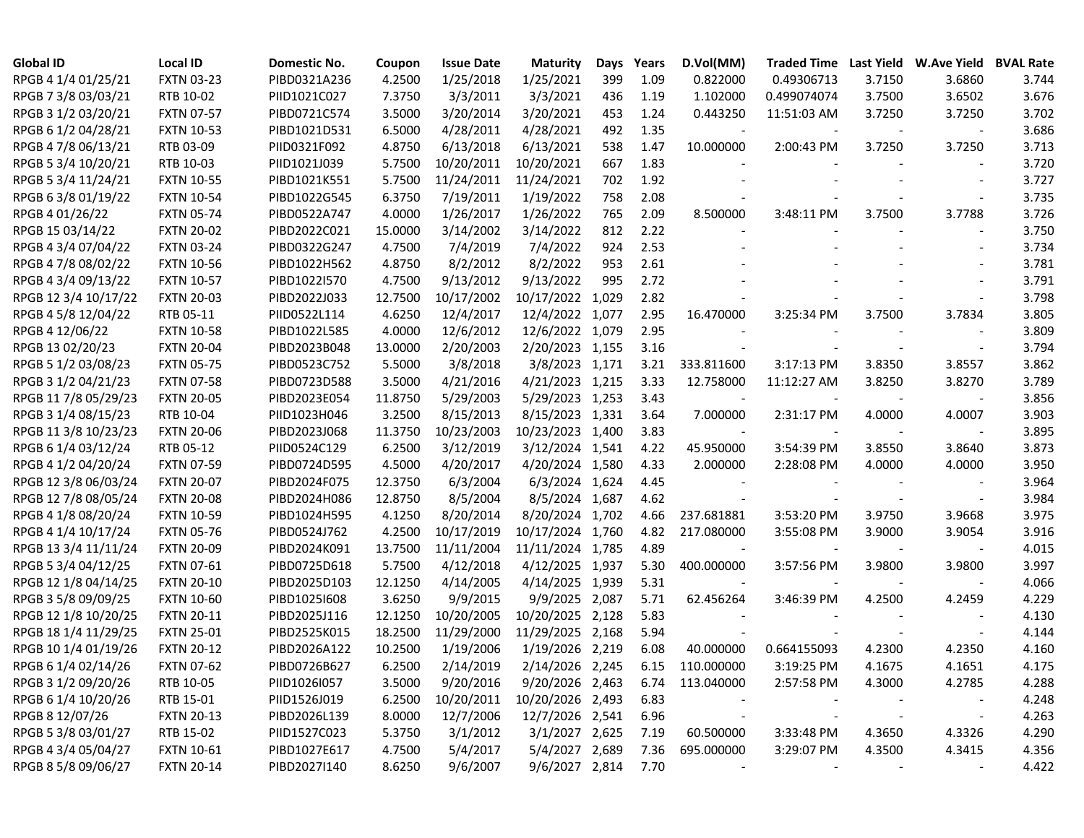| <b>Global ID</b>     | <b>Local ID</b>   | Domestic No. | Coupon  | <b>Issue Date</b> | <b>Maturity</b>  | Days  | Years | D.Vol(MM)       | <b>Traded Time</b> | <b>Last Yield</b> | <b>W.Ave Yield</b>       | <b>BVAL Rate</b> |
|----------------------|-------------------|--------------|---------|-------------------|------------------|-------|-------|-----------------|--------------------|-------------------|--------------------------|------------------|
| RPGB 4 1/4 01/25/21  | <b>FXTN 03-23</b> | PIBD0321A236 | 4.2500  | 1/25/2018         | 1/25/2021        | 399   | 1.09  | 0.822000        | 0.49306713         | 3.7150            | 3.6860                   | 3.744            |
| RPGB 7 3/8 03/03/21  | RTB 10-02         | PIID1021C027 | 7.3750  | 3/3/2011          | 3/3/2021         | 436   | 1.19  | 1.102000        | 0.499074074        | 3.7500            | 3.6502                   | 3.676            |
| RPGB 3 1/2 03/20/21  | <b>FXTN 07-57</b> | PIBD0721C574 | 3.5000  | 3/20/2014         | 3/20/2021        | 453   | 1.24  | 0.443250        | 11:51:03 AM        | 3.7250            | 3.7250                   | 3.702            |
| RPGB 6 1/2 04/28/21  | <b>FXTN 10-53</b> | PIBD1021D531 | 6.5000  | 4/28/2011         | 4/28/2021        | 492   | 1.35  |                 |                    |                   |                          | 3.686            |
| RPGB 4 7/8 06/13/21  | RTB 03-09         | PIID0321F092 | 4.8750  | 6/13/2018         | 6/13/2021        | 538   | 1.47  | 10.000000       | 2:00:43 PM         | 3.7250            | 3.7250                   | 3.713            |
| RPGB 5 3/4 10/20/21  | RTB 10-03         | PIID1021J039 | 5.7500  | 10/20/2011        | 10/20/2021       | 667   | 1.83  |                 |                    |                   |                          | 3.720            |
| RPGB 5 3/4 11/24/21  | <b>FXTN 10-55</b> | PIBD1021K551 | 5.7500  | 11/24/2011        | 11/24/2021       | 702   | 1.92  |                 |                    |                   |                          | 3.727            |
| RPGB 6 3/8 01/19/22  | <b>FXTN 10-54</b> | PIBD1022G545 | 6.3750  | 7/19/2011         | 1/19/2022        | 758   | 2.08  |                 |                    |                   |                          | 3.735            |
| RPGB 4 01/26/22      | <b>FXTN 05-74</b> | PIBD0522A747 | 4.0000  | 1/26/2017         | 1/26/2022        | 765   | 2.09  | 8.500000        | 3:48:11 PM         | 3.7500            | 3.7788                   | 3.726            |
| RPGB 15 03/14/22     | <b>FXTN 20-02</b> | PIBD2022C021 | 15.0000 | 3/14/2002         | 3/14/2022        | 812   | 2.22  |                 |                    |                   |                          | 3.750            |
| RPGB 4 3/4 07/04/22  | <b>FXTN 03-24</b> | PIBD0322G247 | 4.7500  | 7/4/2019          | 7/4/2022         | 924   | 2.53  |                 |                    |                   |                          | 3.734            |
| RPGB 4 7/8 08/02/22  | <b>FXTN 10-56</b> | PIBD1022H562 | 4.8750  | 8/2/2012          | 8/2/2022         | 953   | 2.61  |                 |                    |                   |                          | 3.781            |
| RPGB 4 3/4 09/13/22  | <b>FXTN 10-57</b> | PIBD1022I570 | 4.7500  | 9/13/2012         | 9/13/2022        | 995   | 2.72  |                 |                    |                   |                          | 3.791            |
| RPGB 12 3/4 10/17/22 | <b>FXTN 20-03</b> | PIBD2022J033 | 12.7500 | 10/17/2002        | 10/17/2022       | 1,029 | 2.82  |                 |                    |                   |                          | 3.798            |
| RPGB 4 5/8 12/04/22  | RTB 05-11         | PIID0522L114 | 4.6250  | 12/4/2017         | 12/4/2022 1,077  |       | 2.95  | 16.470000       | 3:25:34 PM         | 3.7500            | 3.7834                   | 3.805            |
| RPGB 4 12/06/22      | <b>FXTN 10-58</b> | PIBD1022L585 | 4.0000  | 12/6/2012         | 12/6/2022 1,079  |       | 2.95  |                 |                    |                   |                          | 3.809            |
| RPGB 13 02/20/23     | <b>FXTN 20-04</b> | PIBD2023B048 | 13.0000 | 2/20/2003         | 2/20/2023 1,155  |       | 3.16  |                 |                    |                   | $\overline{\phantom{a}}$ | 3.794            |
| RPGB 5 1/2 03/08/23  | <b>FXTN 05-75</b> | PIBD0523C752 | 5.5000  | 3/8/2018          | 3/8/2023 1,171   |       | 3.21  | 333.811600      | 3:17:13 PM         | 3.8350            | 3.8557                   | 3.862            |
| RPGB 3 1/2 04/21/23  | <b>FXTN 07-58</b> | PIBD0723D588 | 3.5000  | 4/21/2016         | 4/21/2023 1,215  |       | 3.33  | 12.758000       | 11:12:27 AM        | 3.8250            | 3.8270                   | 3.789            |
| RPGB 11 7/8 05/29/23 | <b>FXTN 20-05</b> | PIBD2023E054 | 11.8750 | 5/29/2003         | 5/29/2023 1,253  |       | 3.43  |                 |                    |                   |                          | 3.856            |
| RPGB 3 1/4 08/15/23  | RTB 10-04         | PIID1023H046 | 3.2500  | 8/15/2013         | 8/15/2023 1,331  |       | 3.64  | 7.000000        | 2:31:17 PM         | 4.0000            | 4.0007                   | 3.903            |
| RPGB 11 3/8 10/23/23 | <b>FXTN 20-06</b> | PIBD2023J068 | 11.3750 | 10/23/2003        | 10/23/2023 1,400 |       | 3.83  |                 |                    |                   |                          | 3.895            |
| RPGB 6 1/4 03/12/24  | RTB 05-12         | PIID0524C129 | 6.2500  | 3/12/2019         | 3/12/2024 1,541  |       | 4.22  | 45.950000       | 3:54:39 PM         | 3.8550            | 3.8640                   | 3.873            |
| RPGB 4 1/2 04/20/24  | <b>FXTN 07-59</b> | PIBD0724D595 | 4.5000  | 4/20/2017         | 4/20/2024 1,580  |       | 4.33  | 2.000000        | 2:28:08 PM         | 4.0000            | 4.0000                   | 3.950            |
| RPGB 12 3/8 06/03/24 | <b>FXTN 20-07</b> | PIBD2024F075 | 12.3750 | 6/3/2004          | 6/3/2024 1,624   |       | 4.45  |                 |                    |                   |                          | 3.964            |
| RPGB 12 7/8 08/05/24 | <b>FXTN 20-08</b> | PIBD2024H086 | 12.8750 | 8/5/2004          | 8/5/2024 1,687   |       | 4.62  |                 |                    |                   |                          | 3.984            |
| RPGB 4 1/8 08/20/24  | <b>FXTN 10-59</b> | PIBD1024H595 | 4.1250  | 8/20/2014         | 8/20/2024 1,702  |       | 4.66  | 237.681881      | 3:53:20 PM         | 3.9750            | 3.9668                   | 3.975            |
| RPGB 4 1/4 10/17/24  | <b>FXTN 05-76</b> | PIBD0524J762 | 4.2500  | 10/17/2019        | 10/17/2024 1,760 |       | 4.82  | 217.080000      | 3:55:08 PM         | 3.9000            | 3.9054                   | 3.916            |
| RPGB 13 3/4 11/11/24 | <b>FXTN 20-09</b> | PIBD2024K091 | 13.7500 | 11/11/2004        | 11/11/2024 1,785 |       | 4.89  |                 |                    |                   |                          | 4.015            |
| RPGB 5 3/4 04/12/25  | <b>FXTN 07-61</b> | PIBD0725D618 | 5.7500  | 4/12/2018         | 4/12/2025 1,937  |       | 5.30  | 400.000000      | 3:57:56 PM         | 3.9800            | 3.9800                   | 3.997            |
| RPGB 12 1/8 04/14/25 | <b>FXTN 20-10</b> | PIBD2025D103 | 12.1250 | 4/14/2005         | 4/14/2025 1,939  |       | 5.31  |                 |                    |                   |                          | 4.066            |
| RPGB 3 5/8 09/09/25  | <b>FXTN 10-60</b> | PIBD1025I608 | 3.6250  | 9/9/2015          | 9/9/2025 2,087   |       | 5.71  | 62.456264       | 3:46:39 PM         | 4.2500            | 4.2459                   | 4.229            |
| RPGB 12 1/8 10/20/25 | <b>FXTN 20-11</b> | PIBD2025J116 | 12.1250 | 10/20/2005        | 10/20/2025 2,128 |       | 5.83  |                 |                    |                   |                          | 4.130            |
| RPGB 18 1/4 11/29/25 | <b>FXTN 25-01</b> | PIBD2525K015 | 18.2500 | 11/29/2000        | 11/29/2025 2,168 |       | 5.94  |                 |                    |                   |                          | 4.144            |
| RPGB 10 1/4 01/19/26 | <b>FXTN 20-12</b> | PIBD2026A122 | 10.2500 | 1/19/2006         | 1/19/2026 2,219  |       | 6.08  | 40.000000       | 0.664155093        | 4.2300            | 4.2350                   | 4.160            |
| RPGB 6 1/4 02/14/26  | <b>FXTN 07-62</b> | PIBD0726B627 | 6.2500  | 2/14/2019         | 2/14/2026 2,245  |       |       | 6.15 110.000000 | 3:19:25 PM         | 4.1675            | 4.1651                   | 4.175            |
| RPGB 3 1/2 09/20/26  | RTB 10-05         | PIID1026I057 | 3.5000  | 9/20/2016         | 9/20/2026 2,463  |       |       | 6.74 113.040000 | 2:57:58 PM         | 4.3000            | 4.2785                   | 4.288            |
| RPGB 6 1/4 10/20/26  | RTB 15-01         | PIID1526J019 | 6.2500  | 10/20/2011        | 10/20/2026 2,493 |       | 6.83  |                 |                    |                   |                          | 4.248            |
| RPGB 8 12/07/26      | <b>FXTN 20-13</b> | PIBD2026L139 | 8.0000  | 12/7/2006         | 12/7/2026 2,541  |       | 6.96  |                 |                    |                   | $\overline{\phantom{a}}$ | 4.263            |
| RPGB 5 3/8 03/01/27  | RTB 15-02         | PIID1527C023 | 5.3750  | 3/1/2012          | 3/1/2027 2,625   |       | 7.19  | 60.500000       | 3:33:48 PM         | 4.3650            | 4.3326                   | 4.290            |
| RPGB 4 3/4 05/04/27  | <b>FXTN 10-61</b> | PIBD1027E617 | 4.7500  | 5/4/2017          | 5/4/2027 2,689   |       | 7.36  | 695.000000      | 3:29:07 PM         | 4.3500            | 4.3415                   | 4.356            |
| RPGB 8 5/8 09/06/27  | <b>FXTN 20-14</b> | PIBD2027I140 | 8.6250  | 9/6/2007          | 9/6/2027 2,814   |       | 7.70  |                 |                    |                   | $\overline{\phantom{a}}$ | 4.422            |